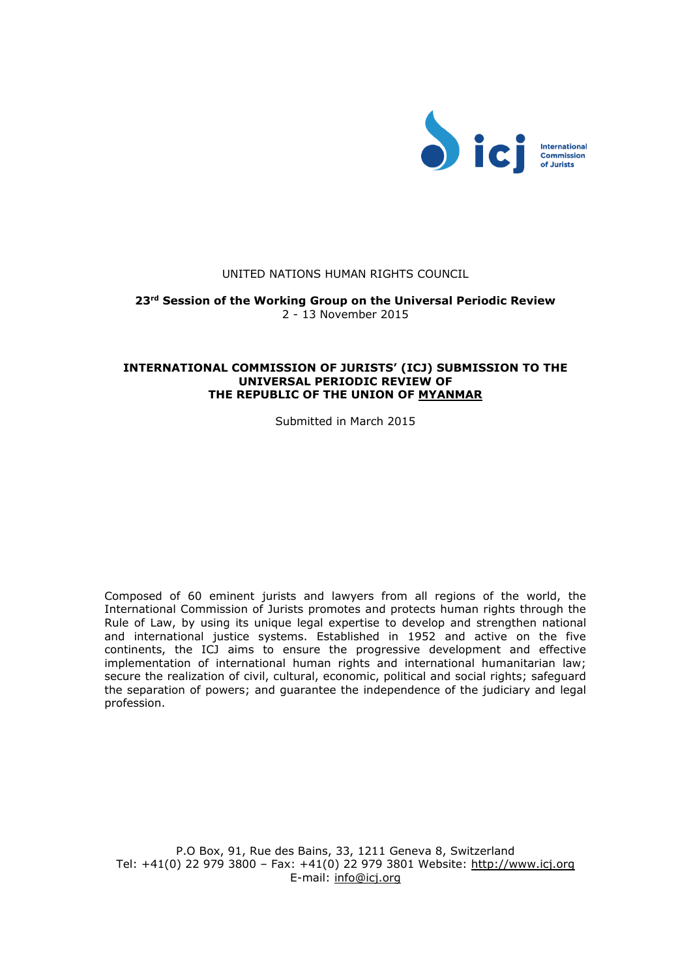

# UNITED NATIONS HUMAN RIGHTS COUNCIL

**23rd Session of the Working Group on the Universal Periodic Review** 2 - 13 November 2015

#### **INTERNATIONAL COMMISSION OF JURISTS' (ICJ) SUBMISSION TO THE UNIVERSAL PERIODIC REVIEW OF THE REPUBLIC OF THE UNION OF MYANMAR**

Submitted in March 2015

Composed of 60 eminent jurists and lawyers from all regions of the world, the International Commission of Jurists promotes and protects human rights through the Rule of Law, by using its unique legal expertise to develop and strengthen national and international justice systems. Established in 1952 and active on the five continents, the ICJ aims to ensure the progressive development and effective implementation of international human rights and international humanitarian law; secure the realization of civil, cultural, economic, political and social rights; safeguard the separation of powers; and guarantee the independence of the judiciary and legal profession.

P.O Box, 91, Rue des Bains, 33, 1211 Geneva 8, Switzerland Tel: +41(0) 22 979 3800 – Fax: +41(0) 22 979 3801 Website: [http://www.icj.org](http://www.icj.org/)  E-mail: [info@icj.org](mailto:info@icj.org)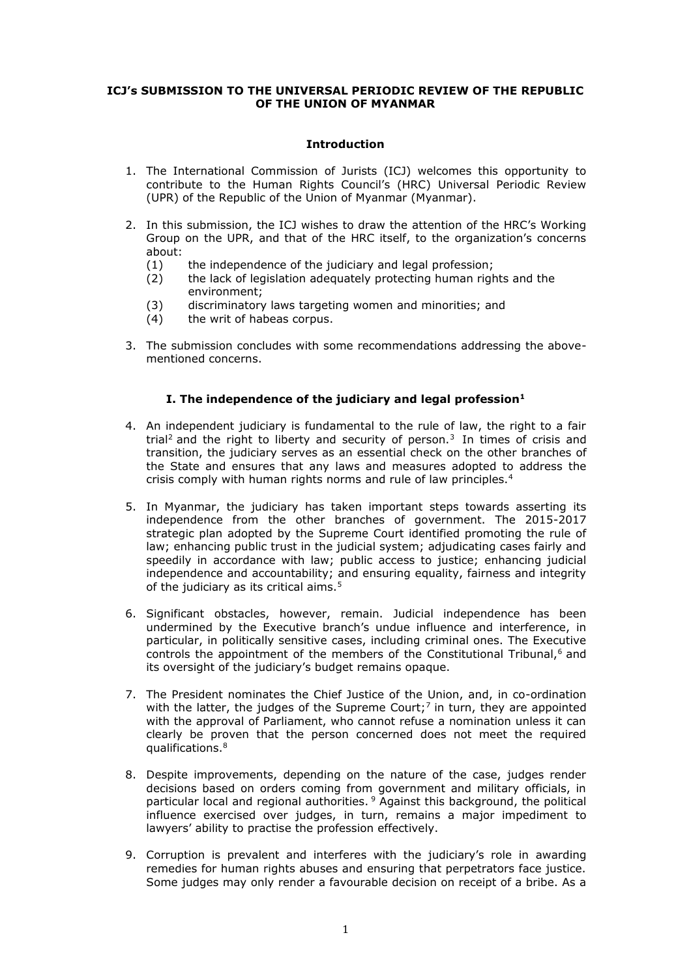## **ICJ's SUBMISSION TO THE UNIVERSAL PERIODIC REVIEW OF THE REPUBLIC OF THE UNION OF MYANMAR**

### **Introduction**

- 1. The International Commission of Jurists (ICJ) welcomes this opportunity to contribute to the Human Rights Council's (HRC) Universal Periodic Review (UPR) of the Republic of the Union of Myanmar (Myanmar).
- 2. In this submission, the ICJ wishes to draw the attention of the HRC's Working Group on the UPR, and that of the HRC itself, to the organization's concerns about:
	- (1) the independence of the judiciary and legal profession;<br>(2) the lack of legislation adequately protecting human righ
	- the lack of legislation adequately protecting human rights and the environment;
	- (3) discriminatory laws targeting women and minorities; and
	- (4) the writ of habeas corpus.
- 3. The submission concludes with some recommendations addressing the abovementioned concerns.

# **I. The independence of the judiciary and legal profession<sup>1</sup>**

- 4. An independent judiciary is fundamental to the rule of law, the right to a fair trial<sup>2</sup> and the right to liberty and security of person.<sup>3</sup> In times of crisis and transition, the judiciary serves as an essential check on the other branches of the State and ensures that any laws and measures adopted to address the crisis comply with human rights norms and rule of law principles.<sup>4</sup>
- 5. In Myanmar, the judiciary has taken important steps towards asserting its independence from the other branches of government. The 2015-2017 strategic plan adopted by the Supreme Court identified promoting the rule of law; enhancing public trust in the judicial system; adjudicating cases fairly and speedily in accordance with law; public access to justice; enhancing judicial independence and accountability; and ensuring equality, fairness and integrity of the judiciary as its critical aims.<sup>5</sup>
- 6. Significant obstacles, however, remain. Judicial independence has been undermined by the Executive branch's undue influence and interference, in particular, in politically sensitive cases, including criminal ones. The Executive controls the appointment of the members of the Constitutional Tribunal, $<sup>6</sup>$  and</sup> its oversight of the judiciary's budget remains opaque.
- 7. The President nominates the Chief Justice of the Union, and, in co-ordination with the latter, the judges of the Supreme Court;<sup>7</sup> in turn, they are appointed with the approval of Parliament, who cannot refuse a nomination unless it can clearly be proven that the person concerned does not meet the required qualifications.<sup>8</sup>
- 8. Despite improvements, depending on the nature of the case, judges render decisions based on orders coming from government and military officials, in particular local and regional authorities. <sup>9</sup> Against this background, the political influence exercised over judges, in turn, remains a major impediment to lawyers' ability to practise the profession effectively.
- 9. Corruption is prevalent and interferes with the judiciary's role in awarding remedies for human rights abuses and ensuring that perpetrators face justice. Some judges may only render a favourable decision on receipt of a bribe. As a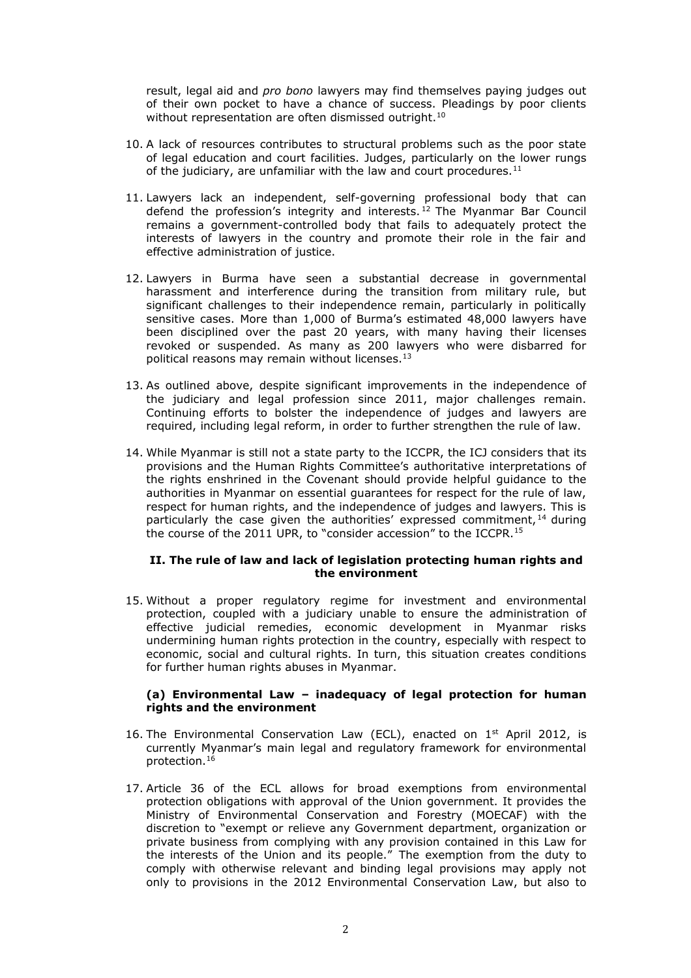result, legal aid and *pro bono* lawyers may find themselves paying judges out of their own pocket to have a chance of success. Pleadings by poor clients without representation are often dismissed outright.<sup>10</sup>

- 10. A lack of resources contributes to structural problems such as the poor state of legal education and court facilities. Judges, particularly on the lower rungs of the judiciary, are unfamiliar with the law and court procedures.<sup>11</sup>
- 11. Lawyers lack an independent, self-governing professional body that can defend the profession's integrity and interests. <sup>12</sup> The Myanmar Bar Council remains a government-controlled body that fails to adequately protect the interests of lawyers in the country and promote their role in the fair and effective administration of justice.
- 12. Lawyers in Burma have seen a substantial decrease in governmental harassment and interference during the transition from military rule, but significant challenges to their independence remain, particularly in politically sensitive cases. More than 1,000 of Burma's estimated 48,000 lawyers have been disciplined over the past 20 years, with many having their licenses revoked or suspended. As many as 200 lawyers who were disbarred for political reasons may remain without licenses.<sup>13</sup>
- 13. As outlined above, despite significant improvements in the independence of the judiciary and legal profession since 2011, major challenges remain. Continuing efforts to bolster the independence of judges and lawyers are required, including legal reform, in order to further strengthen the rule of law.
- 14. While Myanmar is still not a state party to the ICCPR, the ICJ considers that its provisions and the Human Rights Committee's authoritative interpretations of the rights enshrined in the Covenant should provide helpful guidance to the authorities in Myanmar on essential guarantees for respect for the rule of law, respect for human rights, and the independence of judges and lawyers. This is particularly the case given the authorities' expressed commitment,  $14$  during the course of the 2011 UPR, to "consider accession" to the ICCPR.<sup>15</sup>

#### **II. The rule of law and lack of legislation protecting human rights and the environment**

15. Without a proper regulatory regime for investment and environmental protection, coupled with a judiciary unable to ensure the administration of effective judicial remedies, economic development in Myanmar risks undermining human rights protection in the country, especially with respect to economic, social and cultural rights. In turn, this situation creates conditions for further human rights abuses in Myanmar.

#### **(a) Environmental Law – inadequacy of legal protection for human rights and the environment**

- 16. The Environmental Conservation Law (ECL), enacted on  $1^{st}$  April 2012, is currently Myanmar's main legal and regulatory framework for environmental protection.<sup>16</sup>
- 17. Article 36 of the ECL allows for broad exemptions from environmental protection obligations with approval of the Union government. It provides the Ministry of Environmental Conservation and Forestry (MOECAF) with the discretion to "exempt or relieve any Government department, organization or private business from complying with any provision contained in this Law for the interests of the Union and its people." The exemption from the duty to comply with otherwise relevant and binding legal provisions may apply not only to provisions in the 2012 Environmental Conservation Law, but also to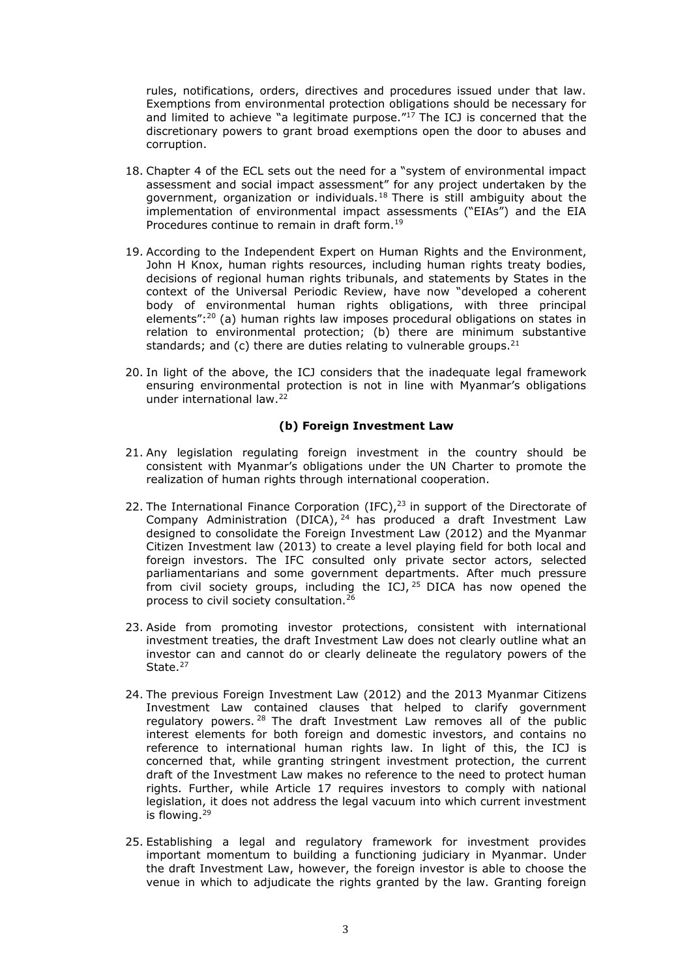rules, notifications, orders, directives and procedures issued under that law. Exemptions from environmental protection obligations should be necessary for and limited to achieve "a legitimate purpose."<sup>17</sup> The ICJ is concerned that the discretionary powers to grant broad exemptions open the door to abuses and corruption.

- 18. Chapter 4 of the ECL sets out the need for a "system of environmental impact assessment and social impact assessment" for any project undertaken by the government, organization or individuals.<sup>18</sup> There is still ambiguity about the implementation of environmental impact assessments ("EIAs") and the EIA Procedures continue to remain in draft form.<sup>19</sup>
- 19. According to the Independent Expert on Human Rights and the Environment, John H Knox, human rights resources, including human rights treaty bodies, decisions of regional human rights tribunals, and statements by States in the context of the Universal Periodic Review, have now "developed a coherent body of environmental human rights obligations, with three principal elements":<sup>20</sup> (a) human rights law imposes procedural obligations on states in relation to environmental protection; (b) there are minimum substantive standards; and (c) there are duties relating to vulnerable groups. $21$
- 20. In light of the above, the ICJ considers that the inadequate legal framework ensuring environmental protection is not in line with Myanmar's obligations under international law.<sup>22</sup>

## **(b) Foreign Investment Law**

- 21. Any legislation regulating foreign investment in the country should be consistent with Myanmar's obligations under the UN Charter to promote the realization of human rights through international cooperation.
- 22. The International Finance Corporation (IFC), $^{23}$  in support of the Directorate of Company Administration (DICA),  $^{24}$  has produced a draft Investment Law designed to consolidate the Foreign Investment Law (2012) and the Myanmar Citizen Investment law (2013) to create a level playing field for both local and foreign investors. The IFC consulted only private sector actors, selected parliamentarians and some government departments. After much pressure from civil society groups, including the ICJ, <sup>25</sup> DICA has now opened the process to civil society consultation.<sup>2</sup>
- 23. Aside from promoting investor protections, consistent with international investment treaties, the draft Investment Law does not clearly outline what an investor can and cannot do or clearly delineate the regulatory powers of the State.<sup>27</sup>
- 24. The previous Foreign Investment Law (2012) and the 2013 Myanmar Citizens Investment Law contained clauses that helped to clarify government regulatory powers. <sup>28</sup> The draft Investment Law removes all of the public interest elements for both foreign and domestic investors, and contains no reference to international human rights law. In light of this, the ICJ is concerned that, while granting stringent investment protection, the current draft of the Investment Law makes no reference to the need to protect human rights. Further, while Article 17 requires investors to comply with national legislation, it does not address the legal vacuum into which current investment is flowing.<sup>29</sup>
- 25. Establishing a legal and regulatory framework for investment provides important momentum to building a functioning judiciary in Myanmar. Under the draft Investment Law, however, the foreign investor is able to choose the venue in which to adjudicate the rights granted by the law. Granting foreign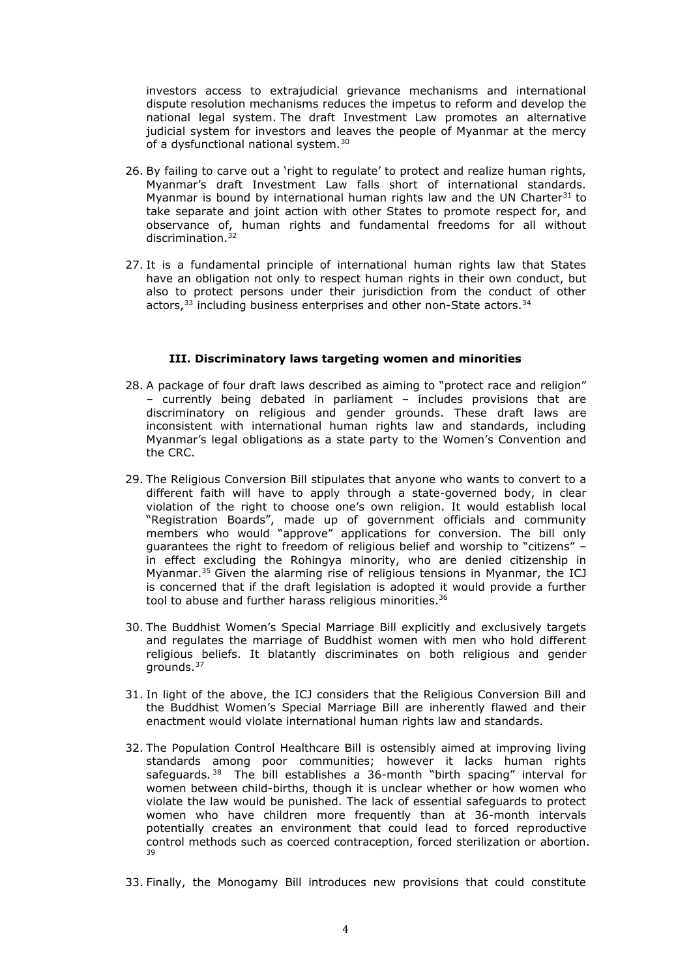investors access to extrajudicial grievance mechanisms and international dispute resolution mechanisms reduces the impetus to reform and develop the national legal system. The draft Investment Law promotes an alternative judicial system for investors and leaves the people of Myanmar at the mercy of a dysfunctional national system.<sup>30</sup>

- 26. By failing to carve out a 'right to regulate' to protect and realize human rights, Myanmar's draft Investment Law falls short of international standards. Myanmar is bound by international human rights law and the UN Charter $31$  to take separate and joint action with other States to promote respect for, and observance of, human rights and fundamental freedoms for all without discrimination.<sup>32</sup>
- 27. It is a fundamental principle of international human rights law that States have an obligation not only to respect human rights in their own conduct, but also to protect persons under their jurisdiction from the conduct of other actors,<sup>33</sup> including business enterprises and other non-State actors.<sup>34</sup>

#### **III. Discriminatory laws targeting women and minorities**

- 28. A package of four draft laws described as aiming to "protect race and religion" – currently being debated in parliament – includes provisions that are discriminatory on religious and gender grounds. These draft laws are inconsistent with international human rights law and standards, including Myanmar's legal obligations as a state party to the Women's Convention and the CRC.
- 29. The Religious Conversion Bill stipulates that anyone who wants to convert to a different faith will have to apply through a state-governed body, in clear violation of the right to choose one's own religion. It would establish local "Registration Boards", made up of government officials and community members who would "approve" applications for conversion. The bill only guarantees the right to freedom of religious belief and worship to "citizens" – in effect excluding the Rohingya minority, who are denied citizenship in Myanmar.<sup>35</sup> Given the alarming rise of religious tensions in Myanmar, the ICJ is concerned that if the draft legislation is adopted it would provide a further tool to abuse and further harass religious minorities.<sup>36</sup>
- 30. The Buddhist Women's Special Marriage Bill explicitly and exclusively targets and regulates the marriage of Buddhist women with men who hold different religious beliefs. It blatantly discriminates on both religious and gender grounds.<sup>37</sup>
- 31. In light of the above, the ICJ considers that the Religious Conversion Bill and the Buddhist Women's Special Marriage Bill are inherently flawed and their enactment would violate international human rights law and standards.
- 32. The Population Control Healthcare Bill is ostensibly aimed at improving living standards among poor communities; however it lacks human rights safeguards.<sup>38</sup> The bill establishes a 36-month "birth spacing" interval for women between child-births, though it is unclear whether or how women who violate the law would be punished. The lack of essential safeguards to protect women who have children more frequently than at 36-month intervals potentially creates an environment that could lead to forced reproductive control methods such as coerced contraception, forced sterilization or abortion. 39
- 33. Finally, the Monogamy Bill introduces new provisions that could constitute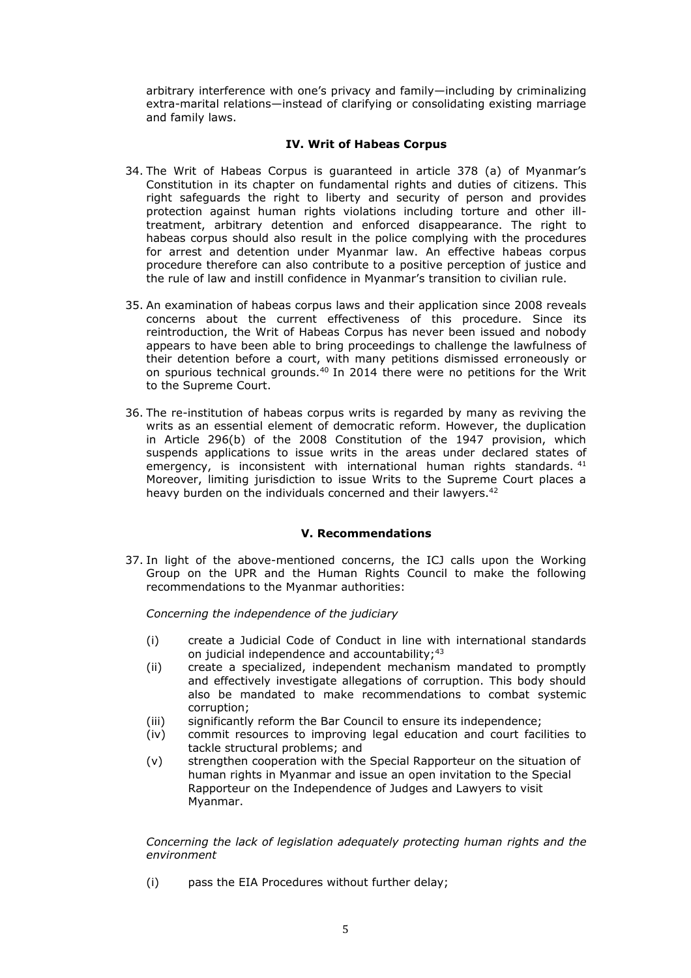arbitrary interference with one's privacy and family—including by criminalizing extra-marital relations—instead of clarifying or consolidating existing marriage and family laws.

## **IV. Writ of Habeas Corpus**

- 34. The Writ of Habeas Corpus is guaranteed in article 378 (a) of Myanmar's Constitution in its chapter on fundamental rights and duties of citizens. This right safeguards the right to liberty and security of person and provides protection against human rights violations including torture and other illtreatment, arbitrary detention and enforced disappearance. The right to habeas corpus should also result in the police complying with the procedures for arrest and detention under Myanmar law. An effective habeas corpus procedure therefore can also contribute to a positive perception of justice and the rule of law and instill confidence in Myanmar's transition to civilian rule.
- 35. An examination of habeas corpus laws and their application since 2008 reveals concerns about the current effectiveness of this procedure. Since its reintroduction, the Writ of Habeas Corpus has never been issued and nobody appears to have been able to bring proceedings to challenge the lawfulness of their detention before a court, with many petitions dismissed erroneously or on spurious technical grounds.<sup>40</sup> In 2014 there were no petitions for the Writ to the Supreme Court.
- 36. The re-institution of habeas corpus writs is regarded by many as reviving the writs as an essential element of democratic reform. However, the duplication in Article 296(b) of the 2008 Constitution of the 1947 provision, which suspends applications to issue writs in the areas under declared states of emergency, is inconsistent with international human rights standards. <sup>41</sup> Moreover, limiting jurisdiction to issue Writs to the Supreme Court places a heavy burden on the individuals concerned and their lawyers.<sup>42</sup>

# **V. Recommendations**

37. In light of the above-mentioned concerns, the ICJ calls upon the Working Group on the UPR and the Human Rights Council to make the following recommendations to the Myanmar authorities:

*Concerning the independence of the judiciary*

- (i) create a Judicial Code of Conduct in line with international standards on judicial independence and accountability;<sup>43</sup>
- (ii) create a specialized, independent mechanism mandated to promptly and effectively investigate allegations of corruption. This body should also be mandated to make recommendations to combat systemic corruption;
- (iii) significantly reform the Bar Council to ensure its independence;
- (iv) commit resources to improving legal education and court facilities to tackle structural problems; and
- (v) strengthen cooperation with the Special Rapporteur on the situation of human rights in Myanmar and issue an open invitation to the Special Rapporteur on the Independence of Judges and Lawyers to visit Myanmar.

## *Concerning the lack of legislation adequately protecting human rights and the environment*

(i) pass the EIA Procedures without further delay;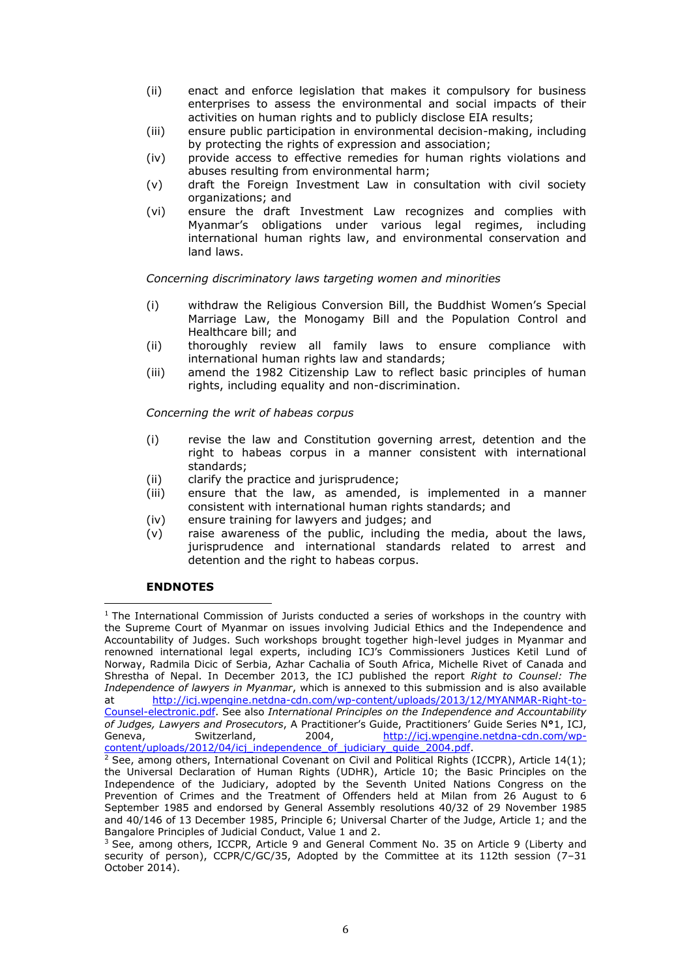- (ii) enact and enforce legislation that makes it compulsory for business enterprises to assess the environmental and social impacts of their activities on human rights and to publicly disclose EIA results;
- (iii) ensure public participation in environmental decision-making, including by protecting the rights of expression and association;
- (iv) provide access to effective remedies for human rights violations and abuses resulting from environmental harm;
- (v) draft the Foreign Investment Law in consultation with civil society organizations; and
- (vi) ensure the draft Investment Law recognizes and complies with Myanmar's obligations under various legal regimes, including international human rights law, and environmental conservation and land laws.

*Concerning discriminatory laws targeting women and minorities*

- (i) withdraw the Religious Conversion Bill, the Buddhist Women's Special Marriage Law, the Monogamy Bill and the Population Control and Healthcare bill; and
- (ii) thoroughly review all family laws to ensure compliance with international human rights law and standards;
- (iii) amend the 1982 Citizenship Law to reflect basic principles of human rights, including equality and non-discrimination.

*Concerning the writ of habeas corpus*

- (i) revise the law and Constitution governing arrest, detention and the right to habeas corpus in a manner consistent with international standards;
- (ii) clarify the practice and jurisprudence;
- (iii) ensure that the law, as amended, is implemented in a manner consistent with international human rights standards; and
- (iv) ensure training for lawyers and judges; and
- (v) raise awareness of the public, including the media, about the laws, jurisprudence and international standards related to arrest and detention and the right to habeas corpus.

# **ENDNOTES**

 $\overline{a}$  $1$  The International Commission of Jurists conducted a series of workshops in the country with the Supreme Court of Myanmar on issues involving Judicial Ethics and the Independence and Accountability of Judges. Such workshops brought together high-level judges in Myanmar and renowned international legal experts, including ICJ's Commissioners Justices Ketil Lund of Norway, Radmila Dicic of Serbia, Azhar Cachalia of South Africa, Michelle Rivet of Canada and Shrestha of Nepal. In December 2013, the ICJ published the report *Right to Counsel: The Independence of lawyers in Myanmar*, which is annexed to this submission and is also available at [http://icj.wpengine.netdna-cdn.com/wp-content/uploads/2013/12/MYANMAR-Right-to-](http://icj.wpengine.netdna-cdn.com/wp-content/uploads/2013/12/MYANMAR-Right-to-Counsel-electronic.pdf)[Counsel-electronic.pdf.](http://icj.wpengine.netdna-cdn.com/wp-content/uploads/2013/12/MYANMAR-Right-to-Counsel-electronic.pdf) See also *International Principles on the Independence and Accountability of Judges, Lawyers and Prosecutors*, A Practitioner's Guide, Practitioners' Guide Series N**°**1, ICJ, Geneva, Switzerland, 2004, [http://icj.wpengine.netdna-cdn.com/wp](http://icj.wpengine.netdna-cdn.com/wp-content/uploads/2012/04/icj_independence_of_judiciary_guide_2004.pdf)content/uploads/2012/04/icj\_independence\_of\_judiciary\_quide\_2004.pdf.

 $2$  See, among others, International Covenant on Civil and Political Rights (ICCPR), Article 14(1); the Universal Declaration of Human Rights (UDHR), Article 10; the Basic Principles on the Independence of the Judiciary, adopted by the Seventh United Nations Congress on the Prevention of Crimes and the Treatment of Offenders held at Milan from 26 August to 6 September 1985 and endorsed by General Assembly resolutions 40/32 of 29 November 1985 and 40/146 of 13 December 1985, Principle 6; Universal Charter of the Judge, Article 1; and the Bangalore Principles of Judicial Conduct, Value 1 and 2.

<sup>&</sup>lt;sup>3</sup> See, among others, ICCPR, Article 9 and General Comment No. 35 on Article 9 (Liberty and security of person), CCPR/C/GC/35, Adopted by the Committee at its 112th session (7-31 October 2014).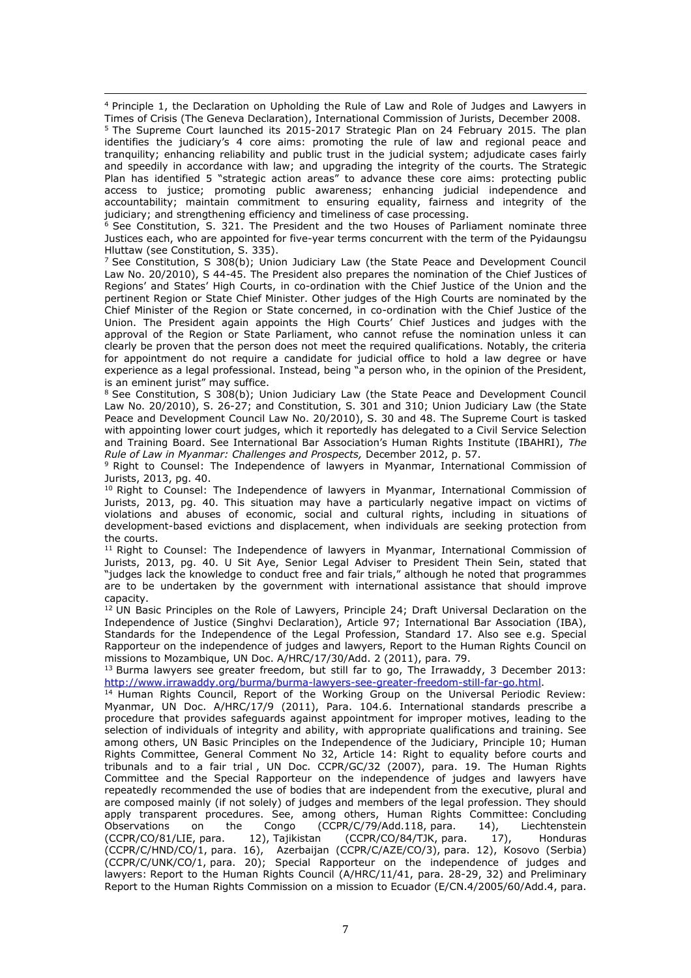<sup>4</sup> Principle 1, the Declaration on Upholding the Rule of Law and Role of Judges and Lawyers in Times of Crisis (The Geneva Declaration), International Commission of Jurists, December 2008. <sup>5</sup> The Supreme Court launched its 2015-2017 Strategic Plan on 24 February 2015. The plan identifies the judiciary's 4 core aims: promoting the rule of law and regional peace and tranquility; enhancing reliability and public trust in the judicial system; adjudicate cases fairly and speedily in accordance with law; and upgrading the integrity of the courts. The Strategic Plan has identified 5 "strategic action areas" to advance these core aims: protecting public access to justice; promoting public awareness; enhancing judicial independence and accountability; maintain commitment to ensuring equality, fairness and integrity of the judiciary; and strengthening efficiency and timeliness of case processing.

 $\overline{a}$ 

 $6$  See Constitution, S. 321. The President and the two Houses of Parliament nominate three Justices each, who are appointed for five-year terms concurrent with the term of the Pyidaungsu Hluttaw (see Constitution, S. 335).

<sup>7</sup> See Constitution, S 308(b); Union Judiciary Law (the State Peace and Development Council Law No. 20/2010), S 44-45. The President also prepares the nomination of the Chief Justices of Regions' and States' High Courts, in co-ordination with the Chief Justice of the Union and the pertinent Region or State Chief Minister. Other judges of the High Courts are nominated by the Chief Minister of the Region or State concerned, in co-ordination with the Chief Justice of the Union. The President again appoints the High Courts' Chief Justices and judges with the approval of the Region or State Parliament, who cannot refuse the nomination unless it can clearly be proven that the person does not meet the required qualifications. Notably, the criteria for appointment do not require a candidate for judicial office to hold a law degree or have experience as a legal professional. Instead, being "a person who, in the opinion of the President, is an eminent jurist" may suffice.

<sup>8</sup> See Constitution, S 308(b); Union Judiciary Law (the State Peace and Development Council Law No. 20/2010), S. 26-27; and Constitution, S. 301 and 310; Union Judiciary Law (the State Peace and Development Council Law No. 20/2010), S. 30 and 48. The Supreme Court is tasked with appointing lower court judges, which it reportedly has delegated to a Civil Service Selection and Training Board. See International Bar Association's Human Rights Institute (IBAHRI), *The Rule of Law in Myanmar: Challenges and Prospects,* December 2012, p. 57.

<sup>9</sup> Right to Counsel: The Independence of lawyers in Myanmar, International Commission of Jurists, 2013, pg. 40.

<sup>10</sup> Right to Counsel: The Independence of lawyers in Myanmar, International Commission of Jurists, 2013, pg. 40. This situation may have a particularly negative impact on victims of violations and abuses of economic, social and cultural rights, including in situations of development-based evictions and displacement, when individuals are seeking protection from the courts.

<sup>11</sup> Right to Counsel: The Independence of lawyers in Myanmar, International Commission of Jurists, 2013, pg. 40. U Sit Aye, Senior Legal Adviser to President Thein Sein, stated that "judges lack the knowledge to conduct free and fair trials," although he noted that programmes are to be undertaken by the government with international assistance that should improve capacity.

<sup>12</sup> UN Basic Principles on the Role of Lawyers, Principle 24; Draft Universal Declaration on the Independence of Justice (Singhvi Declaration), Article 97; International Bar Association (IBA), Standards for the Independence of the Legal Profession, Standard 17. Also see e.g. Special Rapporteur on the independence of judges and lawyers, Report to the Human Rights Council on missions to Mozambique, UN Doc. A/HRC/17/30/Add. 2 (2011), para. 79.

<sup>13</sup> Burma lawyers see greater freedom, but still far to go, The Irrawaddy, 3 December 2013: [http://www.irrawaddy.org/burma/burma-lawyers-see-greater-freedom-still-far-go.html.](http://www.irrawaddy.org/burma/burma-lawyers-see-greater-freedom-still-far-go.html)

<sup>14</sup> Human Rights Council, Report of the Working Group on the Universal Periodic Review: Myanmar, UN Doc. A/HRC/17/9 (2011), Para. 104.6. International standards prescribe a procedure that provides safeguards against appointment for improper motives, leading to the selection of individuals of integrity and ability, with appropriate qualifications and training. See among others, UN Basic Principles on the Independence of the Judiciary, Principle 10; Human Rights Committee, General Comment No 32, Article 14: Right to equality before courts and tribunals and to a fair trial , UN Doc. CCPR/GC/32 (2007), para. 19. The Human Rights Committee and the Special Rapporteur on the independence of judges and lawyers have repeatedly recommended the use of bodies that are independent from the executive, plural and are composed mainly (if not solely) of judges and members of the legal profession. They should apply transparent procedures. See, among others, Human Rights Committee: Concluding<br>Observations on the Congo (CCPR/C/79/Add.118, para. 14), Liechtenstein Observations on the Congo (CCPR/C/79/Add.118, para. 14), Liechtenstein (CCPR/CO/81/LIE, para. 12), Tailkistan (CCPR/CO/84/TJK, para. 17), Honduras (CCPR/CO/81/LIE, para. 12), Tajikistan (CCPR/CO/84/TJK, para. 17), Honduras (CCPR/C/HND/CO/1, para. 16), Azerbaijan (CCPR/C/AZE/CO/3), para. 12), Kosovo (Serbia) (CCPR/C/UNK/CO/1, para. 20); Special Rapporteur on the independence of judges and lawyers: Report to the Human Rights Council (A/HRC/11/41, para. 28-29, 32) and Preliminary Report to the Human Rights Commission on a mission to Ecuador (E/CN.4/2005/60/Add.4, para.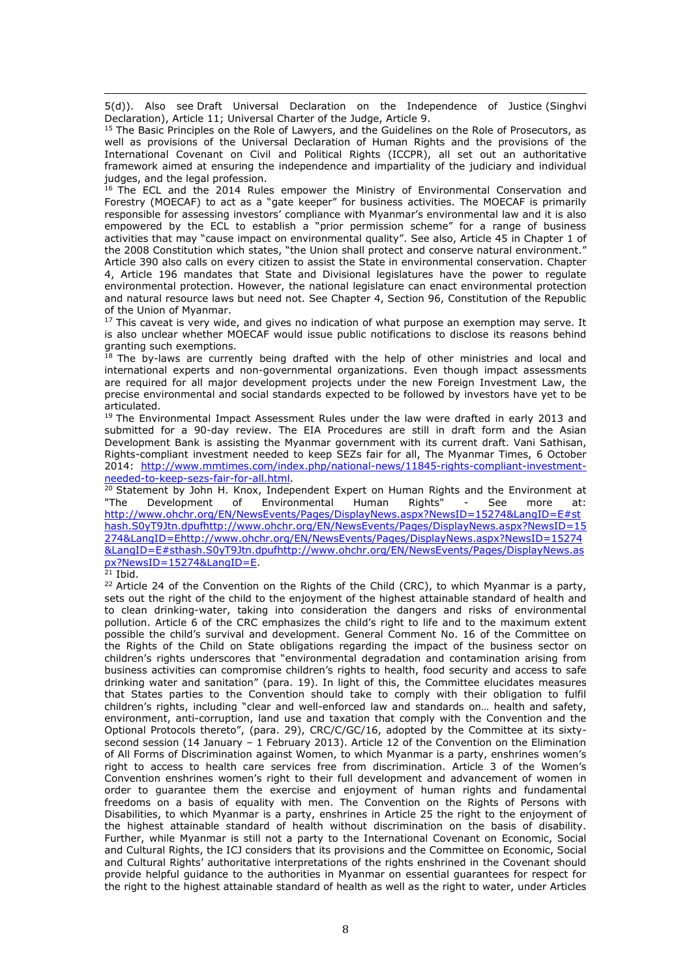$\overline{a}$ 5(d)). Also see Draft Universal Declaration on the Independence of Justice (Singhvi Declaration), Article 11; Universal Charter of the Judge, Article 9.

<sup>15</sup> The Basic Principles on the Role of Lawyers, and the Guidelines on the Role of Prosecutors, as well as provisions of the Universal Declaration of Human Rights and the provisions of the International Covenant on Civil and Political Rights (ICCPR), all set out an authoritative framework aimed at ensuring the independence and impartiality of the judiciary and individual judges, and the legal profession.

<sup>16</sup> The ECL and the 2014 Rules empower the Ministry of Environmental Conservation and Forestry (MOECAF) to act as a "gate keeper" for business activities. The MOECAF is primarily responsible for assessing investors' compliance with Myanmar's environmental law and it is also empowered by the ECL to establish a "prior permission scheme" for a range of business activities that may "cause impact on environmental quality". See also, Article 45 in Chapter 1 of the 2008 Constitution which states, "the Union shall protect and conserve natural environment." Article 390 also calls on every citizen to assist the State in environmental conservation. Chapter 4, Article 196 mandates that State and Divisional legislatures have the power to regulate environmental protection. However, the national legislature can enact environmental protection and natural resource laws but need not. See Chapter 4, Section 96, Constitution of the Republic of the Union of Myanmar.

 $17$  This caveat is very wide, and gives no indication of what purpose an exemption may serve. It is also unclear whether MOECAF would issue public notifications to disclose its reasons behind granting such exemptions.

 $18$  The by-laws are currently being drafted with the help of other ministries and local and international experts and non-governmental organizations. Even though impact assessments are required for all major development projects under the new Foreign Investment Law, the precise environmental and social standards expected to be followed by investors have yet to be articulated.

<sup>19</sup> The Environmental Impact Assessment Rules under the law were drafted in early 2013 and submitted for a 90-day review. The EIA Procedures are still in draft form and the Asian Development Bank is assisting the Myanmar government with its current draft. Vani Sathisan, Rights-compliant investment needed to keep SEZs fair for all, The Myanmar Times, 6 October 2014: [http://www.mmtimes.com/index.php/national-news/11845-rights-compliant-investment](http://www.mmtimes.com/index.php/national-news/11845-rights-compliant-investment-needed-to-keep-sezs-fair-for-all.html)[needed-to-keep-sezs-fair-for-all.html.](http://www.mmtimes.com/index.php/national-news/11845-rights-compliant-investment-needed-to-keep-sezs-fair-for-all.html)

 $\frac{20}{20}$  Statement by John H. Knox, Independent Expert on Human Rights and the Environment at  $\cdot$  The Development of Environmental Human Rights" - See more at: "The Development of Environmental Human Rights" - See more at: [http://www.ohchr.org/EN/NewsEvents/Pages/DisplayNews.aspx?NewsID=15274&LangID=E#st](http://www.ohchr.org/EN/NewsEvents/Pages/DisplayNews.aspx?NewsID=15274&LangID=E#sthash.S0yT9Jtn.dpufhttp://www.ohchr.org/EN/NewsEvents/Pages/DisplayNews.aspx?NewsID=15274&LangID=Ehttp://www.ohchr.org/EN/NewsEvents/Pages/DisplayNews.aspx?NewsID=15274&LangID=E#sthash.S0yT9Jtn.dpufhttp://www.ohchr.org/EN/NewsEvents/Pages/DisplayNews.aspx?NewsID=15274&LangID=E) [hash.S0yT9Jtn.dpufhttp://www.ohchr.org/EN/NewsEvents/Pages/DisplayNews.aspx?NewsID=15](http://www.ohchr.org/EN/NewsEvents/Pages/DisplayNews.aspx?NewsID=15274&LangID=E#sthash.S0yT9Jtn.dpufhttp://www.ohchr.org/EN/NewsEvents/Pages/DisplayNews.aspx?NewsID=15274&LangID=Ehttp://www.ohchr.org/EN/NewsEvents/Pages/DisplayNews.aspx?NewsID=15274&LangID=E#sthash.S0yT9Jtn.dpufhttp://www.ohchr.org/EN/NewsEvents/Pages/DisplayNews.aspx?NewsID=15274&LangID=E) [274&LangID=Ehttp://www.ohchr.org/EN/NewsEvents/Pages/DisplayNews.aspx?NewsID=15274](http://www.ohchr.org/EN/NewsEvents/Pages/DisplayNews.aspx?NewsID=15274&LangID=E#sthash.S0yT9Jtn.dpufhttp://www.ohchr.org/EN/NewsEvents/Pages/DisplayNews.aspx?NewsID=15274&LangID=Ehttp://www.ohchr.org/EN/NewsEvents/Pages/DisplayNews.aspx?NewsID=15274&LangID=E#sthash.S0yT9Jtn.dpufhttp://www.ohchr.org/EN/NewsEvents/Pages/DisplayNews.aspx?NewsID=15274&LangID=E) [&LangID=E#sthash.S0yT9Jtn.dpufhttp://www.ohchr.org/EN/NewsEvents/Pages/DisplayNews.as](http://www.ohchr.org/EN/NewsEvents/Pages/DisplayNews.aspx?NewsID=15274&LangID=E#sthash.S0yT9Jtn.dpufhttp://www.ohchr.org/EN/NewsEvents/Pages/DisplayNews.aspx?NewsID=15274&LangID=Ehttp://www.ohchr.org/EN/NewsEvents/Pages/DisplayNews.aspx?NewsID=15274&LangID=E#sthash.S0yT9Jtn.dpufhttp://www.ohchr.org/EN/NewsEvents/Pages/DisplayNews.aspx?NewsID=15274&LangID=E) [px?NewsID=15274&LangID=E.](http://www.ohchr.org/EN/NewsEvents/Pages/DisplayNews.aspx?NewsID=15274&LangID=E#sthash.S0yT9Jtn.dpufhttp://www.ohchr.org/EN/NewsEvents/Pages/DisplayNews.aspx?NewsID=15274&LangID=Ehttp://www.ohchr.org/EN/NewsEvents/Pages/DisplayNews.aspx?NewsID=15274&LangID=E#sthash.S0yT9Jtn.dpufhttp://www.ohchr.org/EN/NewsEvents/Pages/DisplayNews.aspx?NewsID=15274&LangID=E)

 $21$  Ibid.

 $22$  Article 24 of the Convention on the Rights of the Child (CRC), to which Myanmar is a party, sets out the right of the child to the enjoyment of the highest attainable standard of health and to clean drinking-water, taking into consideration the dangers and risks of environmental pollution. Article 6 of the CRC emphasizes the child's right to life and to the maximum extent possible the child's survival and development. General Comment No. 16 of the Committee on the Rights of the Child on State obligations regarding the impact of the business sector on children's rights underscores that "environmental degradation and contamination arising from business activities can compromise children's rights to health, food security and access to safe drinking water and sanitation" (para. 19). In light of this, the Committee elucidates measures that States parties to the Convention should take to comply with their obligation to fulfil children's rights, including "clear and well-enforced law and standards on… health and safety, environment, anti-corruption, land use and taxation that comply with the Convention and the Optional Protocols thereto", (para. 29), CRC/C/GC/16, adopted by the Committee at its sixtysecond session (14 January – 1 February 2013). Article 12 of the Convention on the Elimination of All Forms of Discrimination against Women, to which Myanmar is a party, enshrines women's right to access to health care services free from discrimination. Article 3 of the Women's Convention enshrines women's right to their full development and advancement of women in order to guarantee them the exercise and enjoyment of human rights and fundamental freedoms on a basis of equality with men. The Convention on the Rights of Persons with Disabilities, to which Myanmar is a party, enshrines in Article 25 the right to the enjoyment of the highest attainable standard of health without discrimination on the basis of disability. Further, while Myanmar is still not a party to the International Covenant on Economic, Social and Cultural Rights, the ICJ considers that its provisions and the Committee on Economic, Social and Cultural Rights' authoritative interpretations of the rights enshrined in the Covenant should provide helpful guidance to the authorities in Myanmar on essential guarantees for respect for the right to the highest attainable standard of health as well as the right to water, under Articles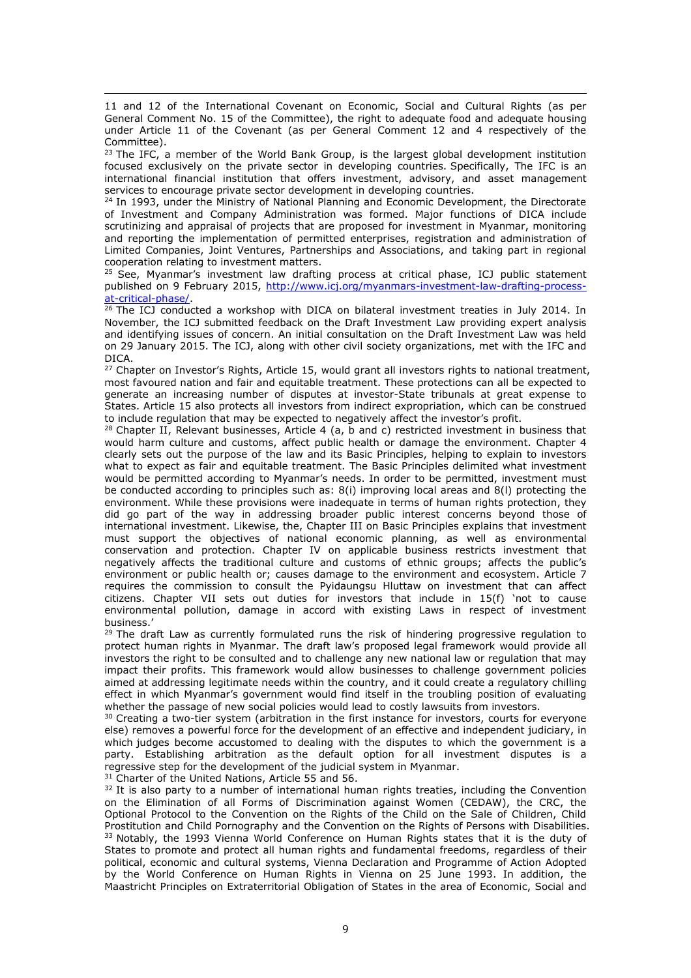$\overline{a}$ 11 and 12 of the International Covenant on Economic, Social and Cultural Rights (as per General Comment No. 15 of the Committee), the right to adequate food and adequate housing under Article 11 of the Covenant (as per General Comment 12 and 4 respectively of the Committee).

 $23$  The IFC, a member of the World Bank Group, is the largest global development institution focused exclusively on the private sector in developing countries. Specifically, The IFC is an [international financial institution](http://en.wikipedia.org/wiki/International_financial_institutions) that offers [investment,](http://en.wikipedia.org/wiki/Investment) advisory, and [asset management](http://en.wikipedia.org/wiki/Asset_management) services to encourage [private sector development](http://en.wikipedia.org/wiki/Private_sector_development) in [developing countries.](http://en.wikipedia.org/wiki/Developing_country)

<sup>24</sup> In 1993, under the Ministry of National Planning and Economic Development, the Directorate of Investment and Company Administration was formed. Major functions of DICA include scrutinizing and appraisal of projects that are proposed for investment in Myanmar, monitoring and reporting the implementation of permitted enterprises, registration and administration of Limited Companies, Joint Ventures, Partnerships and Associations, and taking part in regional cooperation relating to investment matters.

 $25$  See, Myanmar's investment law drafting process at critical phase, ICJ public statement published on 9 February 2015, [http://www.icj.org/myanmars-investment-law-drafting-process](http://www.icj.org/myanmars-investment-law-drafting-process-at-critical-phase/)[at-critical-phase/.](http://www.icj.org/myanmars-investment-law-drafting-process-at-critical-phase/)

 $26$  The ICJ conducted a workshop with DICA on bilateral investment treaties in July 2014. In November, the ICJ submitted feedback on the Draft Investment Law providing expert analysis and identifying issues of concern. An initial consultation on the Draft Investment Law was held on 29 January 2015. The ICJ, along with other civil society organizations, met with the IFC and DICA.

<sup>27</sup> Chapter on Investor's Rights, Article 15, would grant all investors rights to national treatment, most favoured nation and fair and equitable treatment. These protections can all be expected to generate an increasing number of disputes at investor-State tribunals at great expense to States. Article 15 also protects all investors from indirect expropriation, which can be construed to include regulation that may be expected to negatively affect the investor's profit.

 $28$  Chapter II, Relevant businesses, Article 4 (a, b and c) restricted investment in business that would harm culture and customs, affect public health or damage the environment. Chapter 4 clearly sets out the purpose of the law and its Basic Principles, helping to explain to investors what to expect as fair and equitable treatment. The Basic Principles delimited what investment would be permitted according to Myanmar's needs. In order to be permitted, investment must be conducted according to principles such as: 8(i) improving local areas and 8(l) protecting the environment. While these provisions were inadequate in terms of human rights protection, they did go part of the way in addressing broader public interest concerns beyond those of international investment. Likewise, the, Chapter III on Basic Principles explains that investment must support the objectives of national economic planning, as well as environmental conservation and protection. Chapter IV on applicable business restricts investment that negatively affects the traditional culture and customs of ethnic groups; affects the public's environment or public health or; causes damage to the environment and ecosystem. Article 7 requires the commission to consult the Pyidaungsu Hluttaw on investment that can affect citizens. Chapter VII sets out duties for investors that include in 15(f) 'not to cause environmental pollution, damage in accord with existing Laws in respect of investment business.'

<sup>29</sup> The draft Law as currently formulated runs the risk of hindering progressive regulation to protect human rights in Myanmar. The draft law's proposed legal framework would provide all investors the right to be consulted and to challenge any new national law or regulation that may impact their profits. This framework would allow businesses to challenge government policies aimed at addressing legitimate needs within the country, and it could create a regulatory chilling effect in which Myanmar's government would find itself in the troubling position of evaluating whether the passage of new social policies would lead to costly lawsuits from investors.

<sup>30</sup> Creating a two-tier system (arbitration in the first instance for investors, courts for everyone else) removes a powerful force for the development of an effective and independent judiciary, in which judges become accustomed to dealing with the disputes to which the government is a party. Establishing arbitration as the default option for all investment disputes is a regressive step for the development of the judicial system in Myanmar.

<sup>31</sup> Charter of the United Nations, Article 55 and 56.

 $32$  It is also party to a number of international human rights treaties, including the Convention on the Elimination of all Forms of Discrimination against Women (CEDAW), the CRC, the Optional Protocol to the Convention on the Rights of the Child on the Sale of Children, Child Prostitution and Child Pornography and the Convention on the Rights of Persons with Disabilities. <sup>33</sup> Notably, the 1993 Vienna World Conference on Human Rights states that it is the duty of States to promote and protect all human rights and fundamental freedoms, regardless of their political, economic and cultural systems, Vienna Declaration and Programme of Action Adopted by the World Conference on Human Rights in Vienna on 25 June 1993. In addition, the Maastricht Principles on Extraterritorial Obligation of States in the area of Economic, Social and